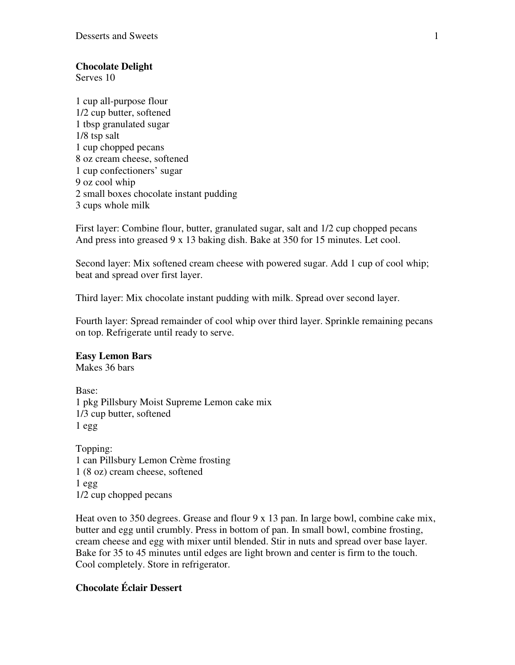# **Chocolate Delight**

Serves 10

1 cup all-purpose flour 1/2 cup butter, softened 1 tbsp granulated sugar 1/8 tsp salt 1 cup chopped pecans 8 oz cream cheese, softened 1 cup confectioners' sugar 9 oz cool whip 2 small boxes chocolate instant pudding 3 cups whole milk

First layer: Combine flour, butter, granulated sugar, salt and 1/2 cup chopped pecans And press into greased 9 x 13 baking dish. Bake at 350 for 15 minutes. Let cool.

Second layer: Mix softened cream cheese with powered sugar. Add 1 cup of cool whip; beat and spread over first layer.

Third layer: Mix chocolate instant pudding with milk. Spread over second layer.

Fourth layer: Spread remainder of cool whip over third layer. Sprinkle remaining pecans on top. Refrigerate until ready to serve.

## **Easy Lemon Bars**

Makes 36 bars

Base: 1 pkg Pillsbury Moist Supreme Lemon cake mix 1/3 cup butter, softened 1 egg

Topping: 1 can Pillsbury Lemon Crème frosting 1 (8 oz) cream cheese, softened 1 egg 1/2 cup chopped pecans

Heat oven to 350 degrees. Grease and flour 9 x 13 pan. In large bowl, combine cake mix, butter and egg until crumbly. Press in bottom of pan. In small bowl, combine frosting, cream cheese and egg with mixer until blended. Stir in nuts and spread over base layer. Bake for 35 to 45 minutes until edges are light brown and center is firm to the touch. Cool completely. Store in refrigerator.

# **Chocolate Éclair Dessert**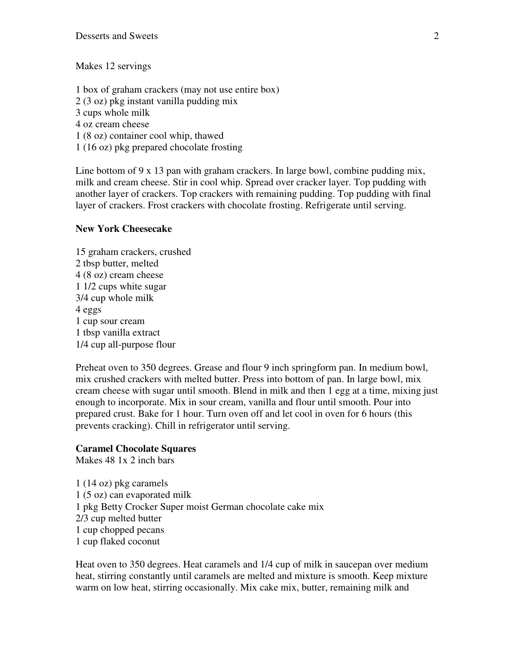Makes 12 servings

1 box of graham crackers (may not use entire box) 2 (3 oz) pkg instant vanilla pudding mix 3 cups whole milk 4 oz cream cheese 1 (8 oz) container cool whip, thawed 1 (16 oz) pkg prepared chocolate frosting

Line bottom of 9 x 13 pan with graham crackers. In large bowl, combine pudding mix, milk and cream cheese. Stir in cool whip. Spread over cracker layer. Top pudding with another layer of crackers. Top crackers with remaining pudding. Top pudding with final layer of crackers. Frost crackers with chocolate frosting. Refrigerate until serving.

#### **New York Cheesecake**

15 graham crackers, crushed 2 tbsp butter, melted 4 (8 oz) cream cheese 1 1/2 cups white sugar 3/4 cup whole milk 4 eggs 1 cup sour cream 1 tbsp vanilla extract 1/4 cup all-purpose flour

Preheat oven to 350 degrees. Grease and flour 9 inch springform pan. In medium bowl, mix crushed crackers with melted butter. Press into bottom of pan. In large bowl, mix cream cheese with sugar until smooth. Blend in milk and then 1 egg at a time, mixing just enough to incorporate. Mix in sour cream, vanilla and flour until smooth. Pour into prepared crust. Bake for 1 hour. Turn oven off and let cool in oven for 6 hours (this prevents cracking). Chill in refrigerator until serving.

### **Caramel Chocolate Squares**

Makes 48 1x 2 inch bars

1 (14 oz) pkg caramels 1 (5 oz) can evaporated milk 1 pkg Betty Crocker Super moist German chocolate cake mix 2/3 cup melted butter 1 cup chopped pecans 1 cup flaked coconut

Heat oven to 350 degrees. Heat caramels and 1/4 cup of milk in saucepan over medium heat, stirring constantly until caramels are melted and mixture is smooth. Keep mixture warm on low heat, stirring occasionally. Mix cake mix, butter, remaining milk and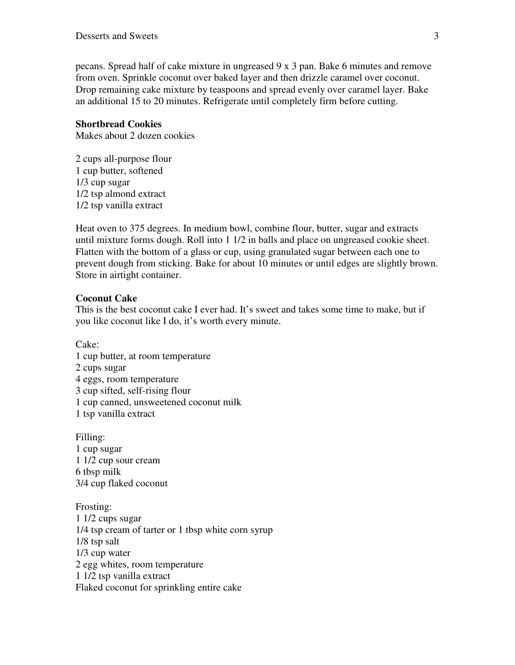pecans. Spread half of cake mixture in ungreased 9 x 3 pan. Bake 6 minutes and remove from oven. Sprinkle coconut over baked layer and then drizzle caramel over coconut. Drop remaining cake mixture by teaspoons and spread evenly over caramel layer. Bake an additional 15 to 20 minutes. Refrigerate until completely firm before cutting.

### **Shortbread Cookies**

Makes about 2 dozen cookies

2 cups all-purpose flour 1 cup butter, softened 1/3 cup sugar 1/2 tsp almond extract 1/2 tsp vanilla extract

Heat oven to 375 degrees. In medium bowl, combine flour, butter, sugar and extracts until mixture forms dough. Roll into 1 1/2 in balls and place on ungreased cookie sheet. Flatten with the bottom of a glass or cup, using granulated sugar between each one to prevent dough from sticking. Bake for about 10 minutes or until edges are slightly brown. Store in airtight container.

### **Coconut Cake**

This is the best coconut cake I ever had. It's sweet and takes some time to make, but if you like coconut like I do, it's worth every minute.

Cake:

- 1 cup butter, at room temperature
- 2 cups sugar
- 4 eggs, room temperature
- 3 cup sifted, self-rising flour
- 1 cup canned, unsweetened coconut milk
- 1 tsp vanilla extract

Filling: 1 cup sugar 1 1/2 cup sour cream 6 tbsp milk 3/4 cup flaked coconut

Frosting: 1 1/2 cups sugar 1/4 tsp cream of tarter or 1 tbsp white corn syrup 1/8 tsp salt 1/3 cup water 2 egg whites, room temperature 1 1/2 tsp vanilla extract Flaked coconut for sprinkling entire cake